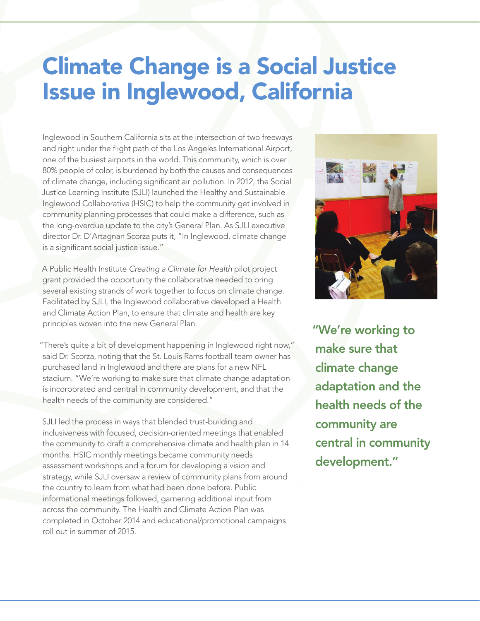## Climate Change is a Social Justice Issue in Inglewood, California

Inglewood in Southern California sits at the intersection of two freeways and right under the flight path of the Los Angeles International Airport, one of the busiest airports in the world. This community, which is over 80% people of color, is burdened by both the causes and consequences of climate change, including significant air pollution. In 2012, the Social Justice Learning Institute (SJLI) launched the [Healthy and Sustainable](http://www.sjli.org/program/health-equity/hsic)  [Inglewood Collaborative \(HSIC\)](http://www.sjli.org/program/health-equity/hsic) to help the community get involved in community planning processes that could make a difference, such as the long-overdue update to the city's General Plan. As SJLI executive director Dr. D'Artagnan Scorza puts it, "In Inglewood, climate change is a significant social justice issue."

A Public Health Institute *Creating a Climate for Health* pilot project grant provided the opportunity the collaborative needed to bring several existing strands of work together to focus on climate change. Facilitated by SJLI, the Inglewood collaborative developed a Health and Climate Action Plan, to ensure that climate and health are key principles woven into the new General Plan.

"There's quite a bit of development happening in Inglewood right now," said Dr. Scorza, noting that the St. Louis Rams football team owner has purchased land in Inglewood and there are plans for a new NFL stadium. "We're working to make sure that climate change adaptation is incorporated and central in community development, and that the health needs of the community are considered."

SJLI led the process in ways that blended trust-building and inclusiveness with focused, decision-oriented meetings that enabled the community to draft a comprehensive climate and health plan in 14 months. HSIC monthly meetings became community needs assessment workshops and a forum for developing a vision and strategy, while SJLI oversaw a review of community plans from around the country to learn from what had been done before. Public informational meetings followed, garnering additional input from across the community. The Health and Climate Action Plan was completed in October 2014 and educational/promotional campaigns roll out in summer of 2015.



"We're working to make sure that climate change adaptation and the health needs of the community are central in community development."